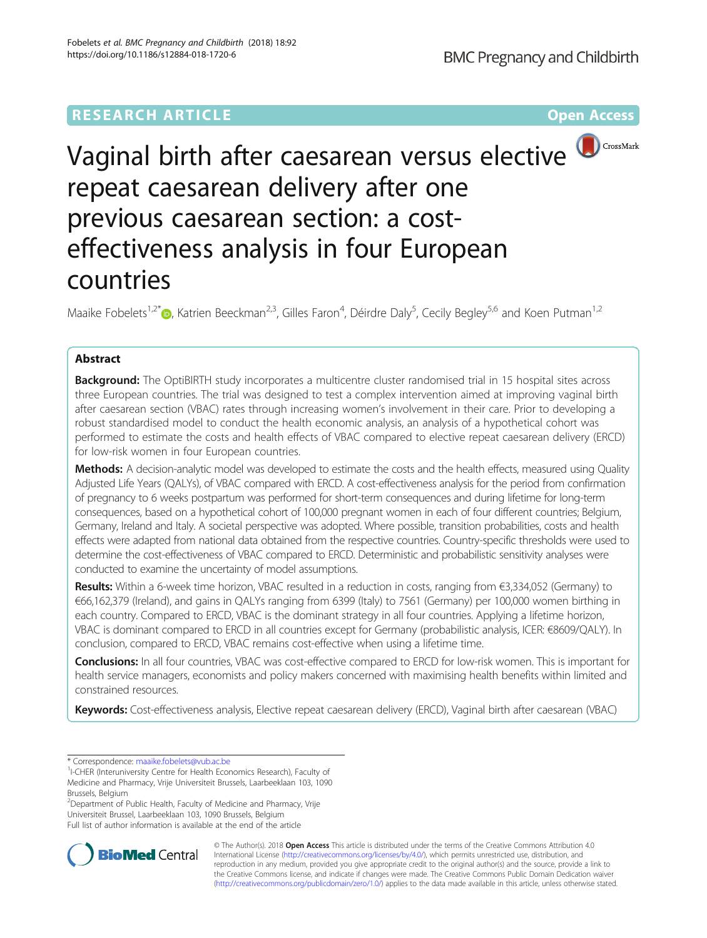## **RESEARCH ARTICLE Example 2014 12:30 The Contract of Contract ACCESS**



# Vaginal birth after caesarean versus elective repeat caesarean delivery after one previous caesarean section: a costeffectiveness analysis in four European countries

Maaike Fobelets<sup>1[,](http://orcid.org/0000-0002-8316-6422)2\*</sup>®, Katrien Beeckman<sup>2,3</sup>, Gilles Faron<sup>4</sup>, Déirdre Daly<sup>5</sup>, Cecily Begley<sup>5,6</sup> and Koen Putman<sup>1,2</sup>

## Abstract

Background: The OptiBIRTH study incorporates a multicentre cluster randomised trial in 15 hospital sites across three European countries. The trial was designed to test a complex intervention aimed at improving vaginal birth after caesarean section (VBAC) rates through increasing women's involvement in their care. Prior to developing a robust standardised model to conduct the health economic analysis, an analysis of a hypothetical cohort was performed to estimate the costs and health effects of VBAC compared to elective repeat caesarean delivery (ERCD) for low-risk women in four European countries.

Methods: A decision-analytic model was developed to estimate the costs and the health effects, measured using Quality Adjusted Life Years (QALYs), of VBAC compared with ERCD. A cost-effectiveness analysis for the period from confirmation of pregnancy to 6 weeks postpartum was performed for short-term consequences and during lifetime for long-term consequences, based on a hypothetical cohort of 100,000 pregnant women in each of four different countries; Belgium, Germany, Ireland and Italy. A societal perspective was adopted. Where possible, transition probabilities, costs and health effects were adapted from national data obtained from the respective countries. Country-specific thresholds were used to determine the cost-effectiveness of VBAC compared to ERCD. Deterministic and probabilistic sensitivity analyses were conducted to examine the uncertainty of model assumptions.

Results: Within a 6-week time horizon, VBAC resulted in a reduction in costs, ranging from €3,334,052 (Germany) to €66,162,379 (Ireland), and gains in QALYs ranging from 6399 (Italy) to 7561 (Germany) per 100,000 women birthing in each country. Compared to ERCD, VBAC is the dominant strategy in all four countries. Applying a lifetime horizon, VBAC is dominant compared to ERCD in all countries except for Germany (probabilistic analysis, ICER: €8609/QALY). In conclusion, compared to ERCD, VBAC remains cost-effective when using a lifetime time.

Conclusions: In all four countries, VBAC was cost-effective compared to ERCD for low-risk women. This is important for health service managers, economists and policy makers concerned with maximising health benefits within limited and constrained resources.

Keywords: Cost-effectiveness analysis, Elective repeat caesarean delivery (ERCD), Vaginal birth after caesarean (VBAC)

2 Department of Public Health, Faculty of Medicine and Pharmacy, Vrije Universiteit Brussel, Laarbeeklaan 103, 1090 Brussels, Belgium Full list of author information is available at the end of the article



© The Author(s). 2018 Open Access This article is distributed under the terms of the Creative Commons Attribution 4.0 International License [\(http://creativecommons.org/licenses/by/4.0/](http://creativecommons.org/licenses/by/4.0/)), which permits unrestricted use, distribution, and reproduction in any medium, provided you give appropriate credit to the original author(s) and the source, provide a link to the Creative Commons license, and indicate if changes were made. The Creative Commons Public Domain Dedication waiver [\(http://creativecommons.org/publicdomain/zero/1.0/](http://creativecommons.org/publicdomain/zero/1.0/)) applies to the data made available in this article, unless otherwise stated.

<sup>\*</sup> Correspondence: [maaike.fobelets@vub.ac.be](mailto:maaike.fobelets@vub.ac.be) <sup>1</sup>

<sup>&</sup>lt;sup>1</sup>I-CHER (Interuniversity Centre for Health Economics Research), Faculty of Medicine and Pharmacy, Vrije Universiteit Brussels, Laarbeeklaan 103, 1090 Brussels, Belgium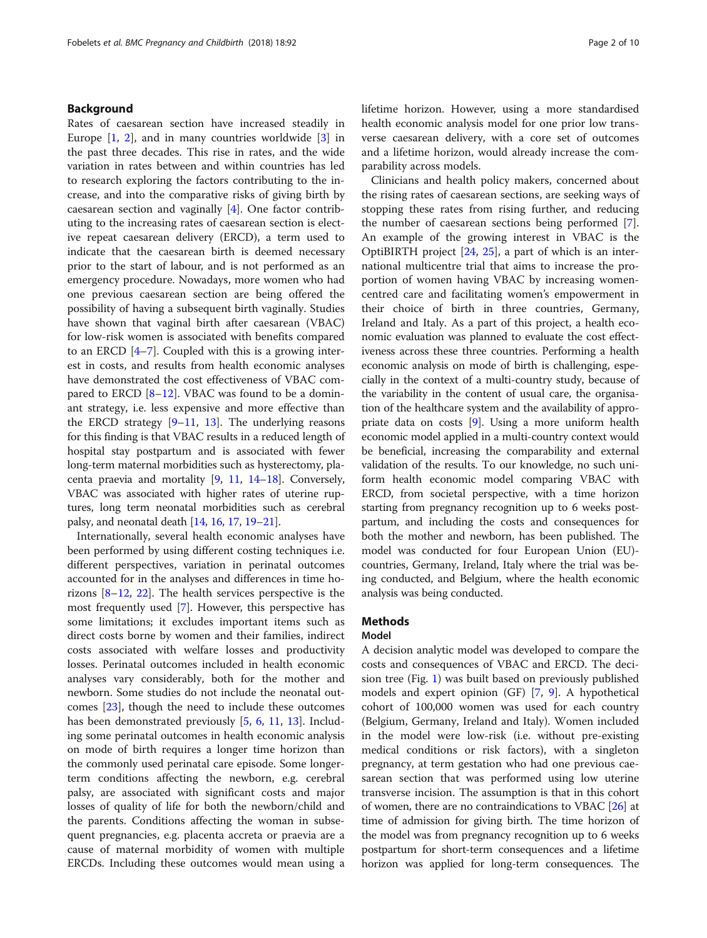## Background

Rates of caesarean section have increased steadily in Europe [\[1](#page-8-0), [2\]](#page-8-0), and in many countries worldwide [\[3](#page-8-0)] in the past three decades. This rise in rates, and the wide variation in rates between and within countries has led to research exploring the factors contributing to the increase, and into the comparative risks of giving birth by caesarean section and vaginally [\[4](#page-8-0)]. One factor contributing to the increasing rates of caesarean section is elective repeat caesarean delivery (ERCD), a term used to indicate that the caesarean birth is deemed necessary prior to the start of labour, and is not performed as an emergency procedure. Nowadays, more women who had one previous caesarean section are being offered the possibility of having a subsequent birth vaginally. Studies have shown that vaginal birth after caesarean (VBAC) for low-risk women is associated with benefits compared to an ERCD  $[4-7]$  $[4-7]$  $[4-7]$ . Coupled with this is a growing interest in costs, and results from health economic analyses have demonstrated the cost effectiveness of VBAC compared to ERCD [[8](#page-9-0)–[12](#page-9-0)]. VBAC was found to be a dominant strategy, i.e. less expensive and more effective than the ERCD strategy  $[9-11, 13]$  $[9-11, 13]$  $[9-11, 13]$  $[9-11, 13]$  $[9-11, 13]$  $[9-11, 13]$  $[9-11, 13]$ . The underlying reasons for this finding is that VBAC results in a reduced length of hospital stay postpartum and is associated with fewer long-term maternal morbidities such as hysterectomy, placenta praevia and mortality [[9,](#page-9-0) [11](#page-9-0), [14](#page-9-0)–[18](#page-9-0)]. Conversely, VBAC was associated with higher rates of uterine ruptures, long term neonatal morbidities such as cerebral palsy, and neonatal death [\[14,](#page-9-0) [16](#page-9-0), [17,](#page-9-0) [19](#page-9-0)–[21](#page-9-0)].

Internationally, several health economic analyses have been performed by using different costing techniques i.e. different perspectives, variation in perinatal outcomes accounted for in the analyses and differences in time horizons  $[8-12, 22]$  $[8-12, 22]$  $[8-12, 22]$  $[8-12, 22]$  $[8-12, 22]$ . The health services perspective is the most frequently used [\[7](#page-9-0)]. However, this perspective has some limitations; it excludes important items such as direct costs borne by women and their families, indirect costs associated with welfare losses and productivity losses. Perinatal outcomes included in health economic analyses vary considerably, both for the mother and newborn. Some studies do not include the neonatal outcomes [\[23](#page-9-0)], though the need to include these outcomes has been demonstrated previously [\[5,](#page-9-0) [6,](#page-9-0) [11](#page-9-0), [13\]](#page-9-0). Including some perinatal outcomes in health economic analysis on mode of birth requires a longer time horizon than the commonly used perinatal care episode. Some longerterm conditions affecting the newborn, e.g. cerebral palsy, are associated with significant costs and major losses of quality of life for both the newborn/child and the parents. Conditions affecting the woman in subsequent pregnancies, e.g. placenta accreta or praevia are a cause of maternal morbidity of women with multiple ERCDs. Including these outcomes would mean using a lifetime horizon. However, using a more standardised health economic analysis model for one prior low transverse caesarean delivery, with a core set of outcomes and a lifetime horizon, would already increase the comparability across models.

Clinicians and health policy makers, concerned about the rising rates of caesarean sections, are seeking ways of stopping these rates from rising further, and reducing the number of caesarean sections being performed [\[7](#page-9-0)]. An example of the growing interest in VBAC is the OptiBIRTH project [\[24,](#page-9-0) [25](#page-9-0)], a part of which is an international multicentre trial that aims to increase the proportion of women having VBAC by increasing womencentred care and facilitating women's empowerment in their choice of birth in three countries, Germany, Ireland and Italy. As a part of this project, a health economic evaluation was planned to evaluate the cost effectiveness across these three countries. Performing a health economic analysis on mode of birth is challenging, especially in the context of a multi-country study, because of the variability in the content of usual care, the organisation of the healthcare system and the availability of appropriate data on costs [[9\]](#page-9-0). Using a more uniform health economic model applied in a multi-country context would be beneficial, increasing the comparability and external validation of the results. To our knowledge, no such uniform health economic model comparing VBAC with ERCD, from societal perspective, with a time horizon starting from pregnancy recognition up to 6 weeks postpartum, and including the costs and consequences for both the mother and newborn, has been published. The model was conducted for four European Union (EU) countries, Germany, Ireland, Italy where the trial was being conducted, and Belgium, where the health economic analysis was being conducted.

## **Methods**

## Model

A decision analytic model was developed to compare the costs and consequences of VBAC and ERCD. The decision tree (Fig. [1\)](#page-2-0) was built based on previously published models and expert opinion (GF) [[7,](#page-9-0) [9](#page-9-0)]. A hypothetical cohort of 100,000 women was used for each country (Belgium, Germany, Ireland and Italy). Women included in the model were low-risk (i.e. without pre-existing medical conditions or risk factors), with a singleton pregnancy, at term gestation who had one previous caesarean section that was performed using low uterine transverse incision. The assumption is that in this cohort of women, there are no contraindications to VBAC [[26](#page-9-0)] at time of admission for giving birth. The time horizon of the model was from pregnancy recognition up to 6 weeks postpartum for short-term consequences and a lifetime horizon was applied for long-term consequences. The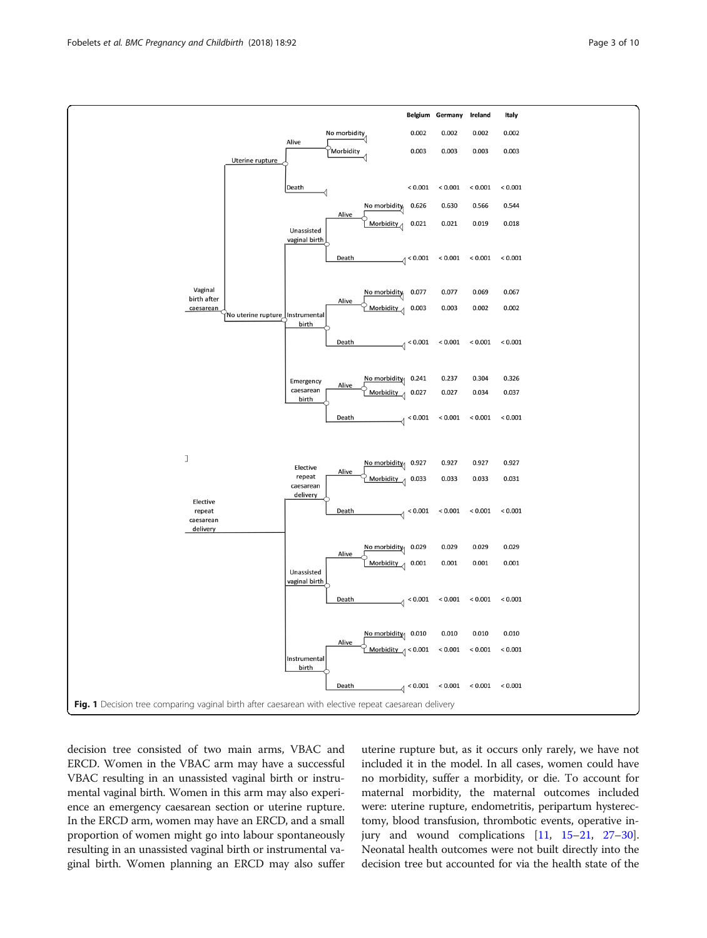<span id="page-2-0"></span>

decision tree consisted of two main arms, VBAC and ERCD. Women in the VBAC arm may have a successful VBAC resulting in an unassisted vaginal birth or instrumental vaginal birth. Women in this arm may also experience an emergency caesarean section or uterine rupture. In the ERCD arm, women may have an ERCD, and a small proportion of women might go into labour spontaneously resulting in an unassisted vaginal birth or instrumental vaginal birth. Women planning an ERCD may also suffer

uterine rupture but, as it occurs only rarely, we have not included it in the model. In all cases, women could have no morbidity, suffer a morbidity, or die. To account for maternal morbidity, the maternal outcomes included were: uterine rupture, endometritis, peripartum hysterectomy, blood transfusion, thrombotic events, operative injury and wound complications [\[11,](#page-9-0) [15](#page-9-0)–[21](#page-9-0), [27](#page-9-0)–[30](#page-9-0)]. Neonatal health outcomes were not built directly into the decision tree but accounted for via the health state of the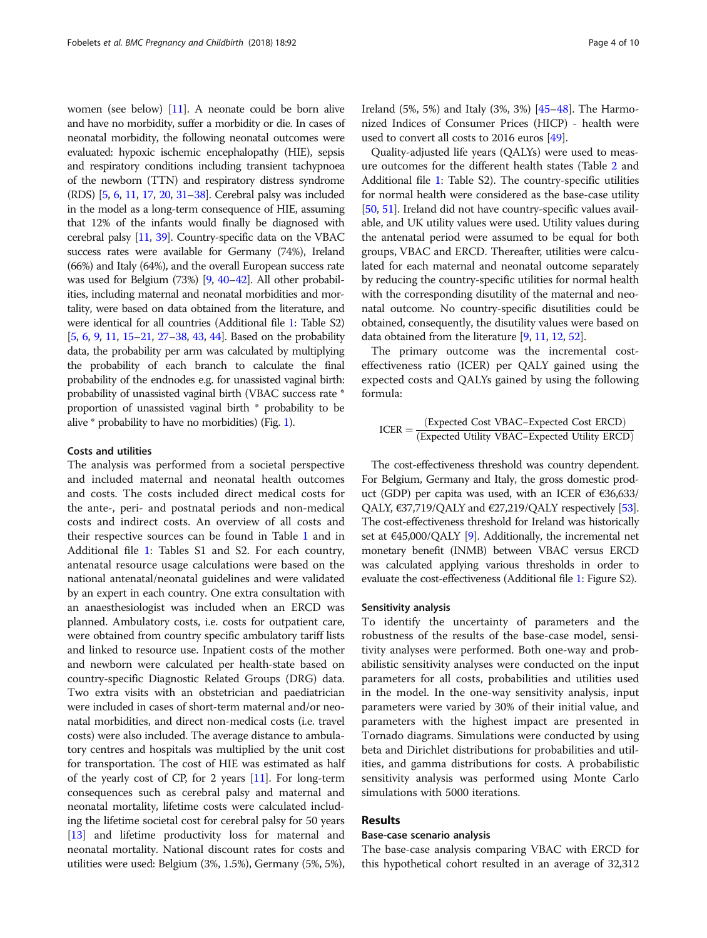women (see below) [[11](#page-9-0)]. A neonate could be born alive and have no morbidity, suffer a morbidity or die. In cases of neonatal morbidity, the following neonatal outcomes were evaluated: hypoxic ischemic encephalopathy (HIE), sepsis and respiratory conditions including transient tachypnoea of the newborn (TTN) and respiratory distress syndrome (RDS) [\[5,](#page-9-0) [6,](#page-9-0) [11,](#page-9-0) [17](#page-9-0), [20,](#page-9-0) [31](#page-9-0)–[38](#page-9-0)]. Cerebral palsy was included in the model as a long-term consequence of HIE, assuming that 12% of the infants would finally be diagnosed with cerebral palsy [[11,](#page-9-0) [39\]](#page-9-0). Country-specific data on the VBAC success rates were available for Germany (74%), Ireland (66%) and Italy (64%), and the overall European success rate was used for Belgium (73%) [[9](#page-9-0), [40](#page-9-0)–[42](#page-9-0)]. All other probabilities, including maternal and neonatal morbidities and mortality, were based on data obtained from the literature, and were identical for all countries (Additional file [1:](#page-8-0) Table S2) [[5](#page-9-0), [6](#page-9-0), [9,](#page-9-0) [11](#page-9-0), [15](#page-9-0)–[21,](#page-9-0) [27](#page-9-0)–[38](#page-9-0), [43,](#page-9-0) [44](#page-9-0)]. Based on the probability data, the probability per arm was calculated by multiplying the probability of each branch to calculate the final probability of the endnodes e.g. for unassisted vaginal birth: probability of unassisted vaginal birth (VBAC success rate \* proportion of unassisted vaginal birth \* probability to be alive \* probability to have no morbidities) (Fig. [1\)](#page-2-0).

## Costs and utilities

The analysis was performed from a societal perspective and included maternal and neonatal health outcomes and costs. The costs included direct medical costs for the ante-, peri- and postnatal periods and non-medical costs and indirect costs. An overview of all costs and their respective sources can be found in Table [1](#page-4-0) and in Additional file [1:](#page-8-0) Tables S1 and S2. For each country, antenatal resource usage calculations were based on the national antenatal/neonatal guidelines and were validated by an expert in each country. One extra consultation with an anaesthesiologist was included when an ERCD was planned. Ambulatory costs, i.e. costs for outpatient care, were obtained from country specific ambulatory tariff lists and linked to resource use. Inpatient costs of the mother and newborn were calculated per health-state based on country-specific Diagnostic Related Groups (DRG) data. Two extra visits with an obstetrician and paediatrician were included in cases of short-term maternal and/or neonatal morbidities, and direct non-medical costs (i.e. travel costs) were also included. The average distance to ambulatory centres and hospitals was multiplied by the unit cost for transportation. The cost of HIE was estimated as half of the yearly cost of CP, for 2 years  $[11]$  $[11]$  $[11]$ . For long-term consequences such as cerebral palsy and maternal and neonatal mortality, lifetime costs were calculated including the lifetime societal cost for cerebral palsy for 50 years [[13](#page-9-0)] and lifetime productivity loss for maternal and neonatal mortality. National discount rates for costs and utilities were used: Belgium (3%, 1.5%), Germany (5%, 5%), Ireland (5%, 5%) and Italy (3%, 3%) [[45](#page-9-0)–[48\]](#page-9-0). The Harmonized Indices of Consumer Prices (HICP) - health were used to convert all costs to 2016 euros [[49](#page-9-0)].

Quality-adjusted life years (QALYs) were used to measure outcomes for the different health states (Table [2](#page-5-0) and Additional file [1:](#page-8-0) Table S2). The country-specific utilities for normal health were considered as the base-case utility [[50](#page-9-0), [51\]](#page-9-0). Ireland did not have country-specific values available, and UK utility values were used. Utility values during the antenatal period were assumed to be equal for both groups, VBAC and ERCD. Thereafter, utilities were calculated for each maternal and neonatal outcome separately by reducing the country-specific utilities for normal health with the corresponding disutility of the maternal and neonatal outcome. No country-specific disutilities could be obtained, consequently, the disutility values were based on data obtained from the literature [\[9,](#page-9-0) [11](#page-9-0), [12,](#page-9-0) [52\]](#page-9-0).

The primary outcome was the incremental costeffectiveness ratio (ICER) per QALY gained using the expected costs and QALYs gained by using the following formula:

$$
ICER = \frac{(Expected Cost VBAC-Expected Cost ERCD)}{(Expected Utility VBAC-Expected Utility ERCD)}
$$

The cost-effectiveness threshold was country dependent. For Belgium, Germany and Italy, the gross domestic product (GDP) per capita was used, with an ICER of  $\epsilon$ 36,633/ QALY,  $\epsilon$ 37,719/QALY and  $\epsilon$ 27,219/QALY respectively [\[53](#page-9-0)]. The cost-effectiveness threshold for Ireland was historically set at  $\epsilon$ 45,000/QALY [\[9](#page-9-0)]. Additionally, the incremental net monetary benefit (INMB) between VBAC versus ERCD was calculated applying various thresholds in order to evaluate the cost-effectiveness (Additional file [1](#page-8-0): Figure S2).

## Sensitivity analysis

To identify the uncertainty of parameters and the robustness of the results of the base-case model, sensitivity analyses were performed. Both one-way and probabilistic sensitivity analyses were conducted on the input parameters for all costs, probabilities and utilities used in the model. In the one-way sensitivity analysis, input parameters were varied by 30% of their initial value, and parameters with the highest impact are presented in Tornado diagrams. Simulations were conducted by using beta and Dirichlet distributions for probabilities and utilities, and gamma distributions for costs. A probabilistic sensitivity analysis was performed using Monte Carlo simulations with 5000 iterations.

## Results

## Base-case scenario analysis

The base-case analysis comparing VBAC with ERCD for this hypothetical cohort resulted in an average of 32,312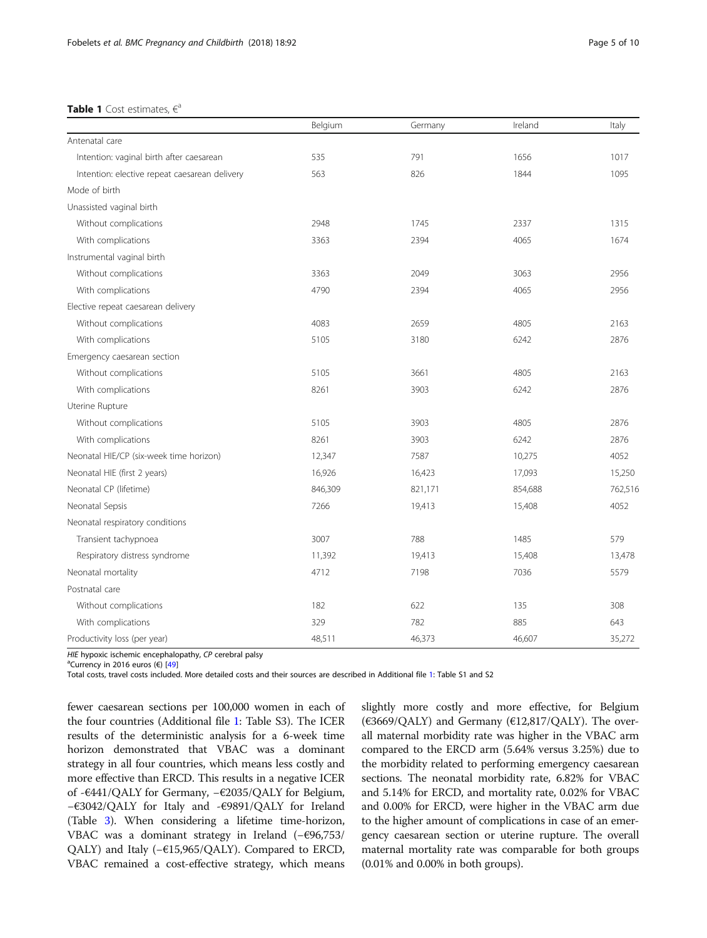## <span id="page-4-0"></span>Table 1 Cost estimates,  $\epsilon^a$

|                                               | Belgium | Germany | Ireland | Italy   |
|-----------------------------------------------|---------|---------|---------|---------|
| Antenatal care                                |         |         |         |         |
| Intention: vaginal birth after caesarean      | 535     | 791     | 1656    | 1017    |
| Intention: elective repeat caesarean delivery | 563     | 826     | 1844    | 1095    |
| Mode of birth                                 |         |         |         |         |
| Unassisted vaginal birth                      |         |         |         |         |
| Without complications                         | 2948    | 1745    | 2337    | 1315    |
| With complications                            | 3363    | 2394    | 4065    | 1674    |
| Instrumental vaginal birth                    |         |         |         |         |
| Without complications                         | 3363    | 2049    | 3063    | 2956    |
| With complications                            | 4790    | 2394    | 4065    | 2956    |
| Elective repeat caesarean delivery            |         |         |         |         |
| Without complications                         | 4083    | 2659    | 4805    | 2163    |
| With complications                            | 5105    | 3180    | 6242    | 2876    |
| Emergency caesarean section                   |         |         |         |         |
| Without complications                         | 5105    | 3661    | 4805    | 2163    |
| With complications                            | 8261    | 3903    | 6242    | 2876    |
| Uterine Rupture                               |         |         |         |         |
| Without complications                         | 5105    | 3903    | 4805    | 2876    |
| With complications                            | 8261    | 3903    | 6242    | 2876    |
| Neonatal HIE/CP (six-week time horizon)       | 12,347  | 7587    | 10,275  | 4052    |
| Neonatal HIE (first 2 years)                  | 16,926  | 16,423  | 17,093  | 15,250  |
| Neonatal CP (lifetime)                        | 846,309 | 821,171 | 854,688 | 762,516 |
| Neonatal Sepsis                               | 7266    | 19,413  | 15,408  | 4052    |
| Neonatal respiratory conditions               |         |         |         |         |
| Transient tachypnoea                          | 3007    | 788     | 1485    | 579     |
| Respiratory distress syndrome                 | 11,392  | 19,413  | 15,408  | 13,478  |
| Neonatal mortality                            | 4712    | 7198    | 7036    | 5579    |
| Postnatal care                                |         |         |         |         |
| Without complications                         | 182     | 622     | 135     | 308     |
| With complications                            | 329     | 782     | 885     | 643     |
| Productivity loss (per year)                  | 48,511  | 46,373  | 46,607  | 35,272  |

HIE hypoxic ischemic encephalopathy, CP cerebral palsy

<sup>a</sup>Currency in 2016 euros (€) [\[49](#page-9-0)]

Total costs, travel costs included. More detailed costs and their sources are described in Additional file [1](#page-8-0): Table S1 and S2

fewer caesarean sections per 100,000 women in each of the four countries (Additional file [1:](#page-8-0) Table S3). The ICER results of the deterministic analysis for a 6-week time horizon demonstrated that VBAC was a dominant strategy in all four countries, which means less costly and more effective than ERCD. This results in a negative ICER of -€441/QALY for Germany, −€2035/QALY for Belgium, −€3042/QALY for Italy and -€9891/QALY for Ireland (Table [3\)](#page-6-0). When considering a lifetime time-horizon, VBAC was a dominant strategy in Ireland (−€96,753/ QALY) and Italy (−€15,965/QALY). Compared to ERCD, VBAC remained a cost-effective strategy, which means

slightly more costly and more effective, for Belgium  $(63669/QALY)$  and Germany  $(612,817/QALY)$ . The overall maternal morbidity rate was higher in the VBAC arm compared to the ERCD arm (5.64% versus 3.25%) due to the morbidity related to performing emergency caesarean sections. The neonatal morbidity rate, 6.82% for VBAC and 5.14% for ERCD, and mortality rate, 0.02% for VBAC and 0.00% for ERCD, were higher in the VBAC arm due to the higher amount of complications in case of an emergency caesarean section or uterine rupture. The overall maternal mortality rate was comparable for both groups (0.01% and 0.00% in both groups).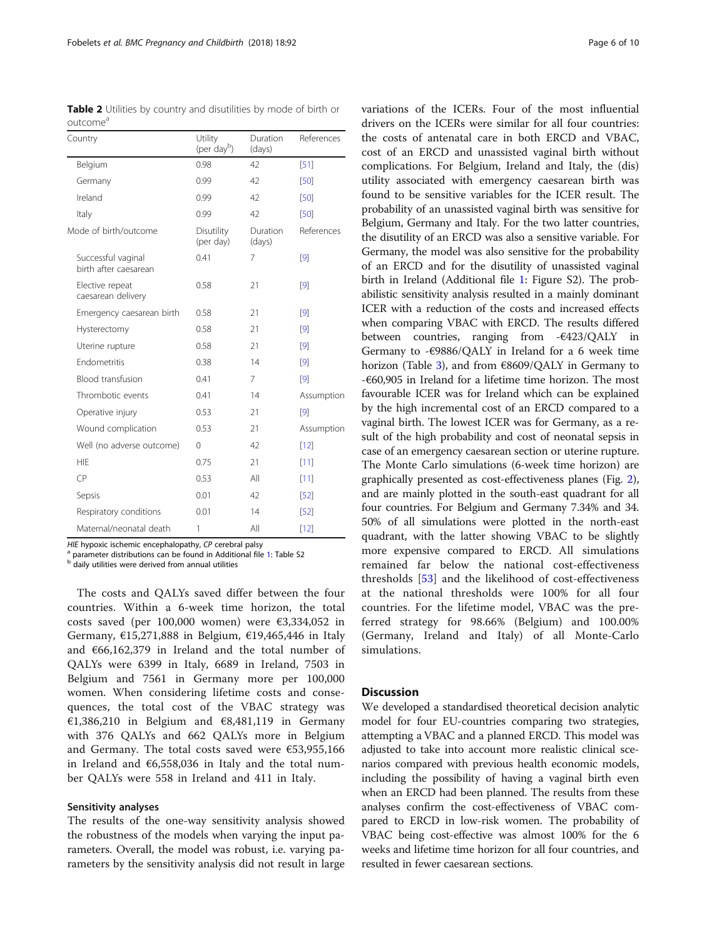| 000001110                                   |                                    |                    |            |
|---------------------------------------------|------------------------------------|--------------------|------------|
| Country                                     | Utility<br>(per day <sup>b</sup> ) | Duration<br>(days) | References |
| Belgium                                     | 0.98                               | 42                 | [51]       |
| Germany                                     | 0.99                               | 42                 | $[50]$     |
| Ireland                                     | 0.99                               | 42                 | [50]       |
| Italy                                       | 0.99                               | 42                 | $[50]$     |
| Mode of birth/outcome                       | Disutility<br>(per day)            | Duration<br>(days) | References |
| Successful vaginal<br>birth after caesarean | 0.41                               | 7                  | [9]        |
| Elective repeat<br>caesarean delivery       | 0.58                               | 21                 | [9]        |
| Emergency caesarean birth                   | 0.58                               | 21                 | [9]        |
| Hysterectomy                                | 0.58                               | 21                 | [9]        |
| Uterine rupture                             | 0.58                               | 21                 | [9]        |
| <b>Fndometritis</b>                         | 0.38                               | 14                 | $[9]$      |
| Blood transfusion                           | 0.41                               | 7                  | [9]        |
| Thrombotic events                           | 0.41                               | 14                 | Assumption |
| Operative injury                            | 0.53                               | 21                 | [9]        |
| Wound complication                          | 0.53                               | 21                 | Assumption |
| Well (no adverse outcome)                   | 0                                  | 42                 | [12]       |
| HIF                                         | 0.75                               | 21                 | [11]       |
| CP                                          | 0.53                               | All                | [11]       |
| Sepsis                                      | 0.01                               | 42                 | $[52]$     |
| Respiratory conditions                      | 0.01                               | 14                 | $[52]$     |
| Maternal/neonatal death                     | 1                                  | All                | $[12]$     |
|                                             |                                    |                    |            |

<span id="page-5-0"></span>Table 2 Utilities by country and disutilities by mode of birth or outcomea

HIE hypoxic ischemic encephalopathy, CP cerebral palsy  $^a$  parameter distributions can be found in Additional file [1](#page-8-0): Table S2  $^b$  daily utilities were derived from annual utilities

The costs and QALYs saved differ between the four countries. Within a 6-week time horizon, the total costs saved (per 100,000 women) were  $\epsilon$ 3,334,052 in Germany, €15,271,888 in Belgium, €19,465,446 in Italy and €66,162,379 in Ireland and the total number of QALYs were 6399 in Italy, 6689 in Ireland, 7503 in Belgium and 7561 in Germany more per 100,000 women. When considering lifetime costs and consequences, the total cost of the VBAC strategy was €1,386,210 in Belgium and €8,481,119 in Germany with 376 QALYs and 662 QALYs more in Belgium and Germany. The total costs saved were €53,955,166 in Ireland and €6,558,036 in Italy and the total number QALYs were 558 in Ireland and 411 in Italy.

## Sensitivity analyses

The results of the one-way sensitivity analysis showed the robustness of the models when varying the input parameters. Overall, the model was robust, i.e. varying parameters by the sensitivity analysis did not result in large

variations of the ICERs. Four of the most influential drivers on the ICERs were similar for all four countries: the costs of antenatal care in both ERCD and VBAC, cost of an ERCD and unassisted vaginal birth without complications. For Belgium, Ireland and Italy, the (dis) utility associated with emergency caesarean birth was found to be sensitive variables for the ICER result. The probability of an unassisted vaginal birth was sensitive for Belgium, Germany and Italy. For the two latter countries, the disutility of an ERCD was also a sensitive variable. For Germany, the model was also sensitive for the probability of an ERCD and for the disutility of unassisted vaginal birth in Ireland (Additional file [1](#page-8-0): Figure S2). The probabilistic sensitivity analysis resulted in a mainly dominant ICER with a reduction of the costs and increased effects when comparing VBAC with ERCD. The results differed between countries, ranging from -€423/QALY in Germany to -€9886/QALY in Ireland for a 6 week time horizon (Table [3](#page-6-0)), and from €8609/QALY in Germany to -€60,905 in Ireland for a lifetime time horizon. The most favourable ICER was for Ireland which can be explained by the high incremental cost of an ERCD compared to a vaginal birth. The lowest ICER was for Germany, as a result of the high probability and cost of neonatal sepsis in case of an emergency caesarean section or uterine rupture. The Monte Carlo simulations (6-week time horizon) are graphically presented as cost-effectiveness planes (Fig. [2](#page-7-0)), and are mainly plotted in the south-east quadrant for all four countries. For Belgium and Germany 7.34% and 34. 50% of all simulations were plotted in the north-east quadrant, with the latter showing VBAC to be slightly more expensive compared to ERCD. All simulations remained far below the national cost-effectiveness thresholds [\[53](#page-9-0)] and the likelihood of cost-effectiveness at the national thresholds were 100% for all four countries. For the lifetime model, VBAC was the preferred strategy for 98.66% (Belgium) and 100.00% (Germany, Ireland and Italy) of all Monte-Carlo simulations.

## **Discussion**

We developed a standardised theoretical decision analytic model for four EU-countries comparing two strategies, attempting a VBAC and a planned ERCD. This model was adjusted to take into account more realistic clinical scenarios compared with previous health economic models, including the possibility of having a vaginal birth even when an ERCD had been planned. The results from these analyses confirm the cost-effectiveness of VBAC compared to ERCD in low-risk women. The probability of VBAC being cost-effective was almost 100% for the 6 weeks and lifetime time horizon for all four countries, and resulted in fewer caesarean sections.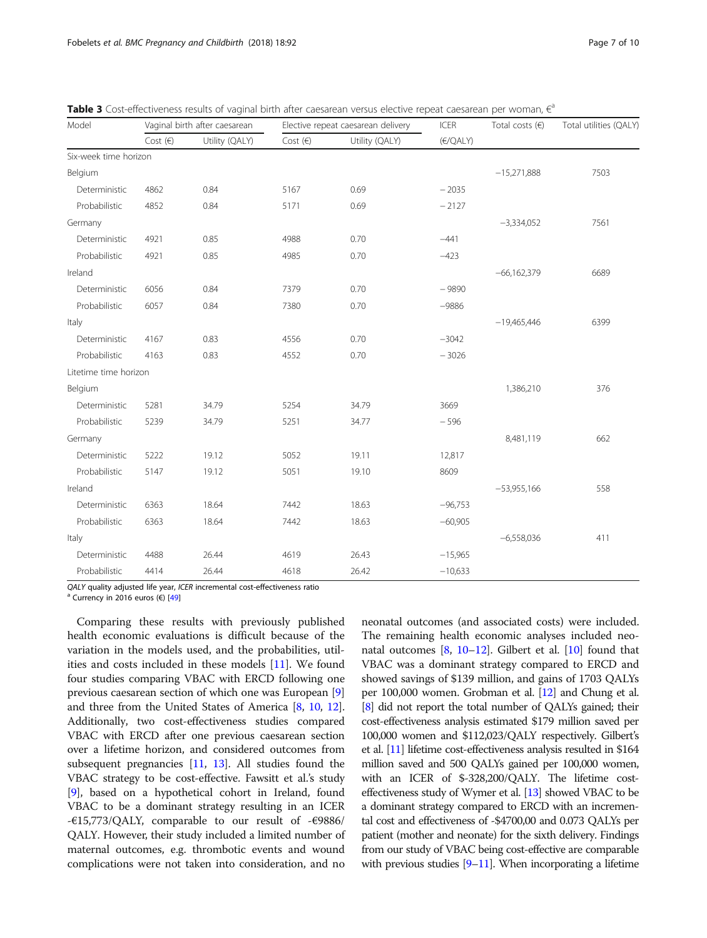| Model                 | Vaginal birth after caesarean |                | Elective repeat caesarean delivery |                | ICER      | Total costs $(\epsilon)$ | Total utilities (QALY) |
|-----------------------|-------------------------------|----------------|------------------------------------|----------------|-----------|--------------------------|------------------------|
|                       | Cost $(\in)$                  | Utility (QALY) | Cost $(\in)$                       | Utility (QALY) | (€/QALY)  |                          |                        |
| Six-week time horizon |                               |                |                                    |                |           |                          |                        |
| Belgium               |                               |                |                                    |                |           | $-15,271,888$            | 7503                   |
| Deterministic         | 4862                          | 0.84           | 5167                               | 0.69           | $-2035$   |                          |                        |
| Probabilistic         | 4852                          | 0.84           | 5171                               | 0.69           | $-2127$   |                          |                        |
| Germany               |                               |                |                                    |                |           | $-3,334,052$             | 7561                   |
| Deterministic         | 4921                          | 0.85           | 4988                               | 0.70           | $-441$    |                          |                        |
| Probabilistic         | 4921                          | 0.85           | 4985                               | 0.70           | $-423$    |                          |                        |
| Ireland               |                               |                |                                    |                |           | $-66,162,379$            | 6689                   |
| Deterministic         | 6056                          | 0.84           | 7379                               | 0.70           | $-9890$   |                          |                        |
| Probabilistic         | 6057                          | 0.84           | 7380                               | 0.70           | $-9886$   |                          |                        |
| Italy                 |                               |                |                                    |                |           | $-19,465,446$            | 6399                   |
| Deterministic         | 4167                          | 0.83           | 4556                               | 0.70           | $-3042$   |                          |                        |
| Probabilistic         | 4163                          | 0.83           | 4552                               | 0.70           | $-3026$   |                          |                        |
| Litetime time horizon |                               |                |                                    |                |           |                          |                        |
| Belgium               |                               |                |                                    |                |           | 1,386,210                | 376                    |
| Deterministic         | 5281                          | 34.79          | 5254                               | 34.79          | 3669      |                          |                        |
| Probabilistic         | 5239                          | 34.79          | 5251                               | 34.77          | $-596$    |                          |                        |
| Germany               |                               |                |                                    |                |           | 8,481,119                | 662                    |
| Deterministic         | 5222                          | 19.12          | 5052                               | 19.11          | 12,817    |                          |                        |
| Probabilistic         | 5147                          | 19.12          | 5051                               | 19.10          | 8609      |                          |                        |
| Ireland               |                               |                |                                    |                |           | $-53,955,166$            | 558                    |
| Deterministic         | 6363                          | 18.64          | 7442                               | 18.63          | $-96,753$ |                          |                        |
| Probabilistic         | 6363                          | 18.64          | 7442                               | 18.63          | $-60,905$ |                          |                        |
| Italy                 |                               |                |                                    |                |           | $-6,558,036$             | 411                    |
| Deterministic         | 4488                          | 26.44          | 4619                               | 26.43          | $-15,965$ |                          |                        |
| Probabilistic         | 4414                          | 26.44          | 4618                               | 26.42          | $-10,633$ |                          |                        |

<span id="page-6-0"></span>Table 3 Cost-effectiveness results of vaginal birth after caesarean versus elective repeat caesarean per woman,  $\epsilon^a$ 

QALY quality adjusted life year, ICER incremental cost-effectiveness ratio <sup>a</sup> Currency in 2016 euros (€) [\[49\]](#page-9-0)

Comparing these results with previously published health economic evaluations is difficult because of the variation in the models used, and the probabilities, utilities and costs included in these models [[11](#page-9-0)]. We found four studies comparing VBAC with ERCD following one previous caesarean section of which one was European [[9](#page-9-0)] and three from the United States of America [[8](#page-9-0), [10,](#page-9-0) [12](#page-9-0)]. Additionally, two cost-effectiveness studies compared VBAC with ERCD after one previous caesarean section over a lifetime horizon, and considered outcomes from subsequent pregnancies [[11](#page-9-0), [13](#page-9-0)]. All studies found the VBAC strategy to be cost-effective. Fawsitt et al.'s study [[9\]](#page-9-0), based on a hypothetical cohort in Ireland, found VBAC to be a dominant strategy resulting in an ICER  $-\epsilon$ 15,773/QALY, comparable to our result of  $-\epsilon$ 9886/ QALY. However, their study included a limited number of maternal outcomes, e.g. thrombotic events and wound complications were not taken into consideration, and no neonatal outcomes (and associated costs) were included. The remaining health economic analyses included neonatal outcomes [\[8,](#page-9-0) [10](#page-9-0)–[12](#page-9-0)]. Gilbert et al. [[10](#page-9-0)] found that VBAC was a dominant strategy compared to ERCD and showed savings of \$139 million, and gains of 1703 QALYs per 100,000 women. Grobman et al. [[12\]](#page-9-0) and Chung et al. [[8](#page-9-0)] did not report the total number of QALYs gained; their cost-effectiveness analysis estimated \$179 million saved per 100,000 women and \$112,023/QALY respectively. Gilbert's et al. [[11\]](#page-9-0) lifetime cost-effectiveness analysis resulted in \$164 million saved and 500 QALYs gained per 100,000 women, with an ICER of \$-328,200/QALY. The lifetime costeffectiveness study of Wymer et al. [\[13\]](#page-9-0) showed VBAC to be a dominant strategy compared to ERCD with an incremental cost and effectiveness of -\$4700,00 and 0.073 QALYs per patient (mother and neonate) for the sixth delivery. Findings from our study of VBAC being cost-effective are comparable with previous studies  $[9-11]$  $[9-11]$  $[9-11]$  $[9-11]$ . When incorporating a lifetime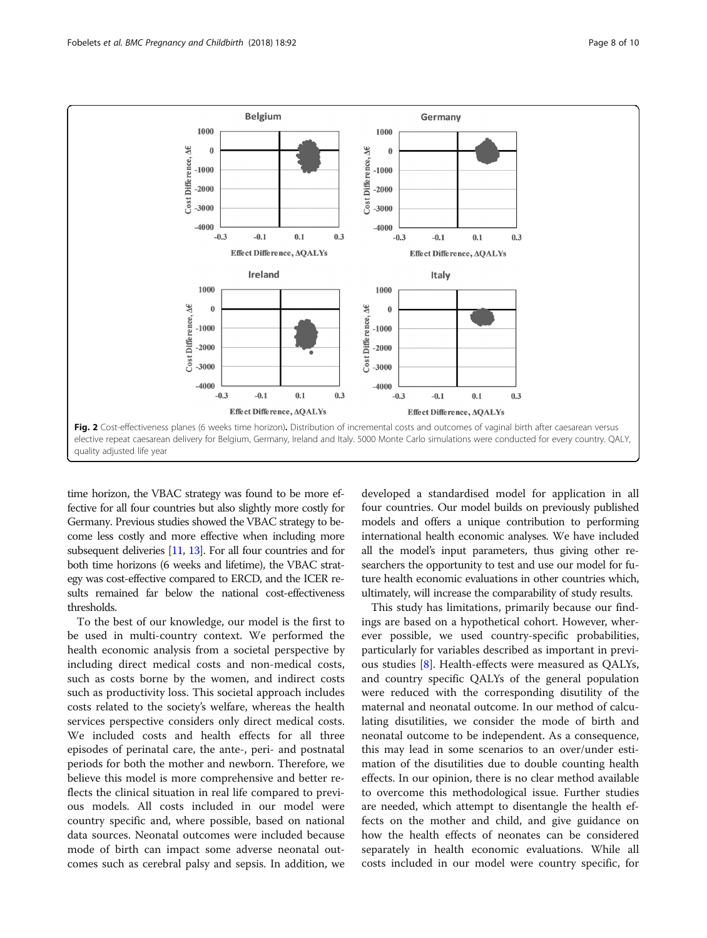<span id="page-7-0"></span>

time horizon, the VBAC strategy was found to be more effective for all four countries but also slightly more costly for Germany. Previous studies showed the VBAC strategy to become less costly and more effective when including more subsequent deliveries [[11](#page-9-0), [13](#page-9-0)]. For all four countries and for both time horizons (6 weeks and lifetime), the VBAC strategy was cost-effective compared to ERCD, and the ICER results remained far below the national cost-effectiveness thresholds.

To the best of our knowledge, our model is the first to be used in multi-country context. We performed the health economic analysis from a societal perspective by including direct medical costs and non-medical costs, such as costs borne by the women, and indirect costs such as productivity loss. This societal approach includes costs related to the society's welfare, whereas the health services perspective considers only direct medical costs. We included costs and health effects for all three episodes of perinatal care, the ante-, peri- and postnatal periods for both the mother and newborn. Therefore, we believe this model is more comprehensive and better reflects the clinical situation in real life compared to previous models. All costs included in our model were country specific and, where possible, based on national data sources. Neonatal outcomes were included because mode of birth can impact some adverse neonatal outcomes such as cerebral palsy and sepsis. In addition, we

developed a standardised model for application in all four countries. Our model builds on previously published models and offers a unique contribution to performing international health economic analyses. We have included all the model's input parameters, thus giving other researchers the opportunity to test and use our model for future health economic evaluations in other countries which, ultimately, will increase the comparability of study results.

This study has limitations, primarily because our findings are based on a hypothetical cohort. However, wherever possible, we used country-specific probabilities, particularly for variables described as important in previous studies [[8\]](#page-9-0). Health-effects were measured as QALYs, and country specific QALYs of the general population were reduced with the corresponding disutility of the maternal and neonatal outcome. In our method of calculating disutilities, we consider the mode of birth and neonatal outcome to be independent. As a consequence, this may lead in some scenarios to an over/under estimation of the disutilities due to double counting health effects. In our opinion, there is no clear method available to overcome this methodological issue. Further studies are needed, which attempt to disentangle the health effects on the mother and child, and give guidance on how the health effects of neonates can be considered separately in health economic evaluations. While all costs included in our model were country specific, for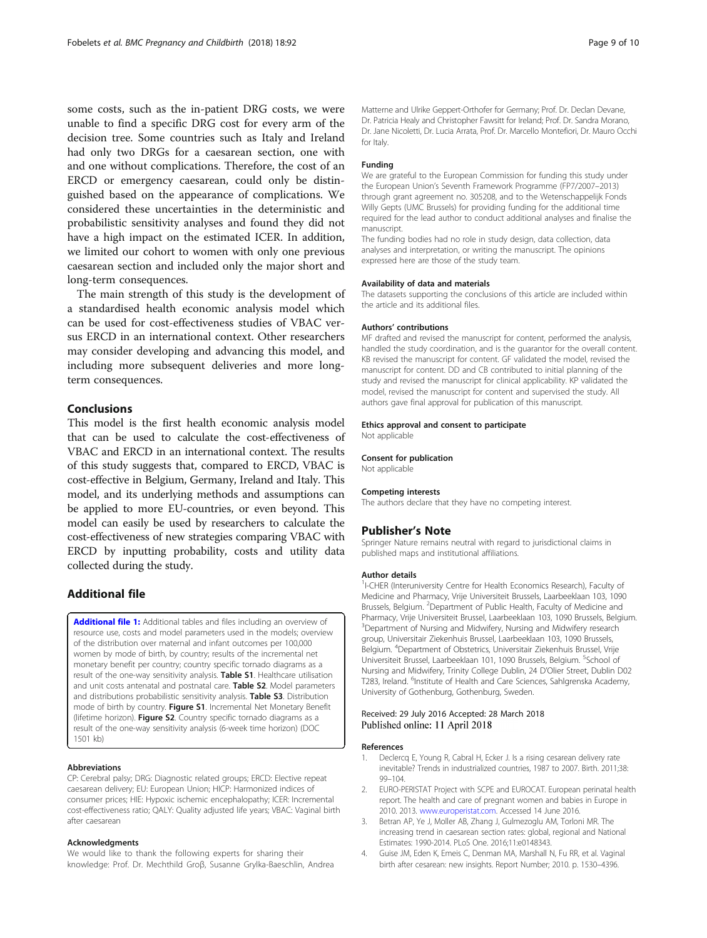<span id="page-8-0"></span>some costs, such as the in-patient DRG costs, we were unable to find a specific DRG cost for every arm of the decision tree. Some countries such as Italy and Ireland had only two DRGs for a caesarean section, one with and one without complications. Therefore, the cost of an ERCD or emergency caesarean, could only be distinguished based on the appearance of complications. We considered these uncertainties in the deterministic and probabilistic sensitivity analyses and found they did not have a high impact on the estimated ICER. In addition, we limited our cohort to women with only one previous caesarean section and included only the major short and long-term consequences.

The main strength of this study is the development of a standardised health economic analysis model which can be used for cost-effectiveness studies of VBAC versus ERCD in an international context. Other researchers may consider developing and advancing this model, and including more subsequent deliveries and more longterm consequences.

## Conclusions

This model is the first health economic analysis model that can be used to calculate the cost-effectiveness of VBAC and ERCD in an international context. The results of this study suggests that, compared to ERCD, VBAC is cost-effective in Belgium, Germany, Ireland and Italy. This model, and its underlying methods and assumptions can be applied to more EU-countries, or even beyond. This model can easily be used by researchers to calculate the cost-effectiveness of new strategies comparing VBAC with ERCD by inputting probability, costs and utility data collected during the study.

## Additional file

[Additional file 1:](https://doi.org/10.1186/s12884-018-1720-6) Additional tables and files including an overview of resource use, costs and model parameters used in the models; overview of the distribution over maternal and infant outcomes per 100,000 women by mode of birth, by country; results of the incremental net monetary benefit per country; country specific tornado diagrams as a result of the one-way sensitivity analysis. Table S1. Healthcare utilisation and unit costs antenatal and postnatal care. Table S2. Model parameters and distributions probabilistic sensitivity analysis. Table S3. Distribution mode of birth by country. Figure S1. Incremental Net Monetary Benefit (lifetime horizon). Figure S2. Country specific tornado diagrams as a result of the one-way sensitivity analysis (6-week time horizon) (DOC 1501 kb)

#### Abbreviations

CP: Cerebral palsy; DRG: Diagnostic related groups; ERCD: Elective repeat caesarean delivery; EU: European Union; HICP: Harmonized indices of consumer prices; HIE: Hypoxic ischemic encephalopathy; ICER: Incremental cost-effectiveness ratio; QALY: Quality adjusted life years; VBAC: Vaginal birth after caesarean

#### Acknowledgments

We would like to thank the following experts for sharing their knowledge: Prof. Dr. Mechthild Groβ, Susanne Grylka-Baeschlin, Andrea

Matterne and Ulrike Geppert-Orthofer for Germany; Prof. Dr. Declan Devane, Dr. Patricia Healy and Christopher Fawsitt for Ireland; Prof. Dr. Sandra Morano, Dr. Jane Nicoletti, Dr. Lucia Arrata, Prof. Dr. Marcello Montefiori, Dr. Mauro Occhi for Italy.

#### Funding

We are grateful to the European Commission for funding this study under the European Union's Seventh Framework Programme (FP7/2007–2013) through grant agreement no. 305208, and to the Wetenschappelijk Fonds Willy Gepts (UMC Brussels) for providing funding for the additional time required for the lead author to conduct additional analyses and finalise the manuscript.

The funding bodies had no role in study design, data collection, data analyses and interpretation, or writing the manuscript. The opinions expressed here are those of the study team.

#### Availability of data and materials

The datasets supporting the conclusions of this article are included within the article and its additional files.

#### Authors' contributions

MF drafted and revised the manuscript for content, performed the analysis, handled the study coordination, and is the guarantor for the overall content. KB revised the manuscript for content. GF validated the model, revised the manuscript for content. DD and CB contributed to initial planning of the study and revised the manuscript for clinical applicability. KP validated the model, revised the manuscript for content and supervised the study. All authors gave final approval for publication of this manuscript.

#### Ethics approval and consent to participate

Not applicable

#### Consent for publication

Not applicable

#### Competing interests

The authors declare that they have no competing interest.

#### Publisher's Note

Springer Nature remains neutral with regard to jurisdictional claims in published maps and institutional affiliations.

#### Author details

<sup>1</sup>I-CHER (Interuniversity Centre for Health Economics Research), Faculty of Medicine and Pharmacy, Vrije Universiteit Brussels, Laarbeeklaan 103, 1090 Brussels, Belgium. <sup>2</sup>Department of Public Health, Faculty of Medicine and Pharmacy, Vrije Universiteit Brussel, Laarbeeklaan 103, 1090 Brussels, Belgium. <sup>3</sup>Department of Nursing and Midwifery, Nursing and Midwifery research group, Universitair Ziekenhuis Brussel, Laarbeeklaan 103, 1090 Brussels, Belgium. <sup>4</sup> Department of Obstetrics, Universitair Ziekenhuis Brussel, Vrije Universiteit Brussel, Laarbeeklaan 101, 1090 Brussels, Belgium. <sup>5</sup>School of Nursing and Midwifery, Trinity College Dublin, 24 D'Olier Street, Dublin D02 T283, Ireland. <sup>6</sup>Institute of Health and Care Sciences, Sahlgrenska Academy, University of Gothenburg, Gothenburg, Sweden.

### Received: 29 July 2016 Accepted: 28 March 2018 Published online: 11 April 2018

#### References

- 1. Declercq E, Young R, Cabral H, Ecker J. Is a rising cesarean delivery rate inevitable? Trends in industrialized countries, 1987 to 2007. Birth. 2011;38: 99–104.
- 2. EURO-PERISTAT Project with SCPE and EUROCAT. European perinatal health report. The health and care of pregnant women and babies in Europe in 2010. 2013. [www.europeristat.com.](http://www.europeristat.com) Accessed 14 June 2016.
- 3. Betran AP, Ye J, Moller AB, Zhang J, Gulmezoglu AM, Torloni MR. The increasing trend in caesarean section rates: global, regional and National Estimates: 1990-2014. PLoS One. 2016;11:e0148343.
- 4. Guise JM, Eden K, Emeis C, Denman MA, Marshall N, Fu RR, et al. Vaginal birth after cesarean: new insights. Report Number; 2010. p. 1530–4396.